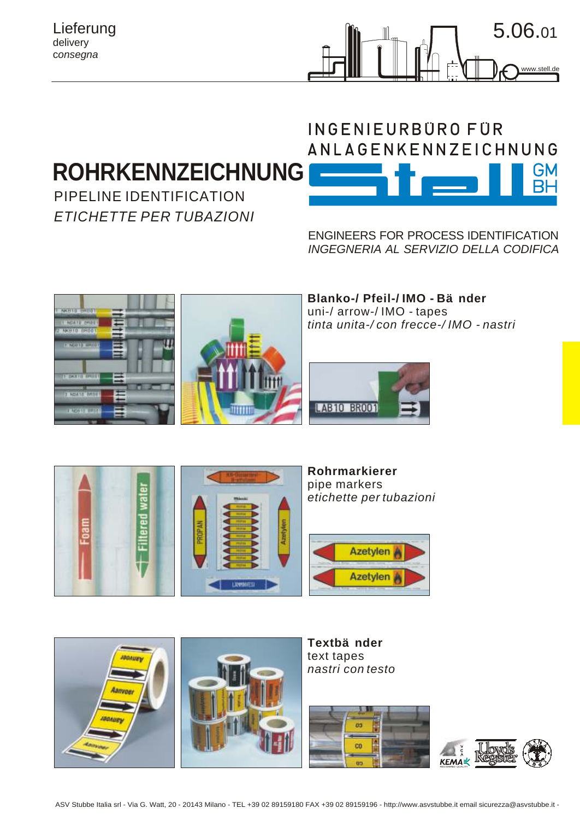### Lieferung delivery c*onsegna*



# **ROHRKENNZEICHNUNG**

PIPELINE IDENTIFICATION *ETICHETTE PER TUBAZIONI*

# INGENIEURBÜRO FÜR **ANLAGENKENNZEICHNUNG GM**

ENGINEERS FOR PROCESS IDENTIFICATION *INGEGNERIA AL SERVIZIO DELLA CODIFICA*





**Blanko-/ Pfeil-/ IMO - Bänder** uni-/ arrow-/ IMO - tapes *tinta unita-/ con frecce-/ IMO - nastri* 





**Rohrmarkierer**  pipe markers *etichette per tubazioni*





**Textbänder** text tapes *nastri con testo*



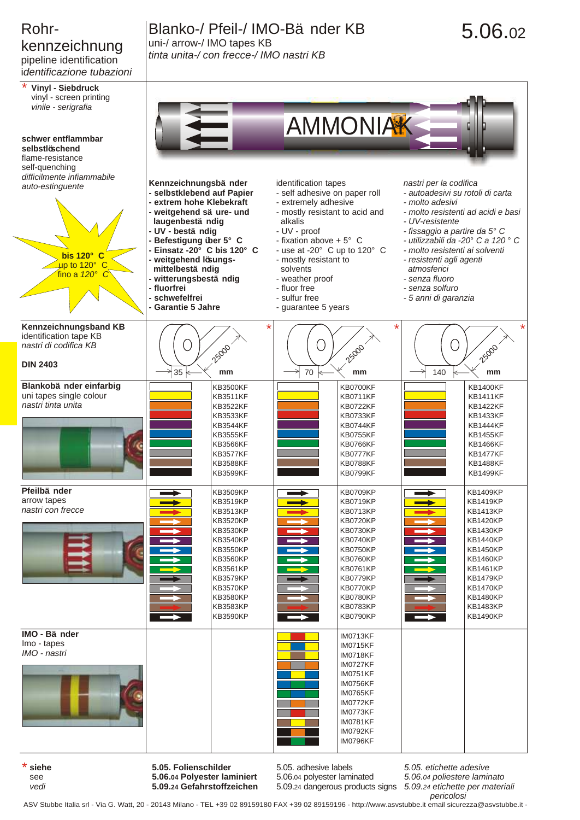## Rohrkennzeichnung pipeline identification

i*dentificazione tubazioni*



# 5.06.02



see *vedi* **5.06.04 Polyester laminiert 5.09.24 Gefahrstoffzeichen** 5.06.04 polyester laminated

*5.06.04 poliestere laminato*

5.09.24 dangerous products signs *5.09.24 etichette per materiali*

*pericolosi* ASV Stubbe Italia srl - Via G. Watt, 20 - 20143 Milano - TEL +39 02 89159180 FAX +39 02 89159196 - http://www.asvstubbe.it email sicurezza@asvstubbe.it -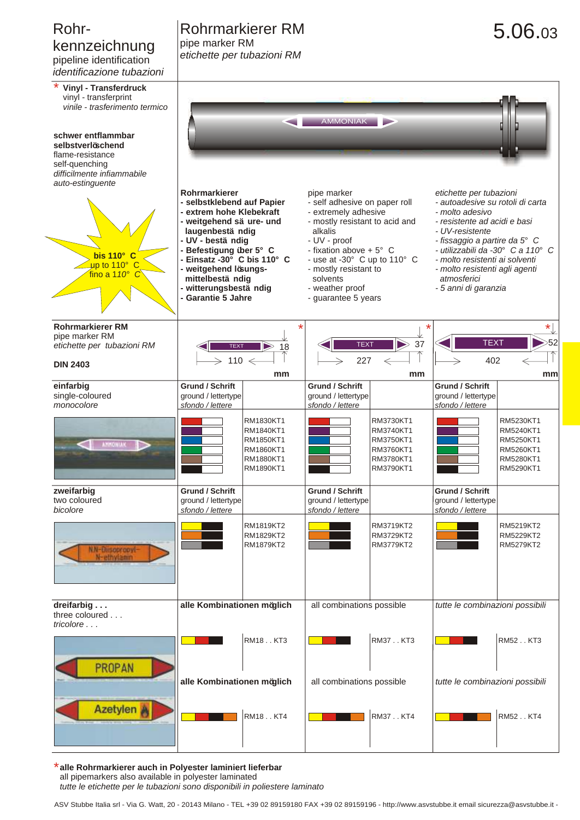## kennzeichnung pipeline identification

*identificazione tubazioni*

## Rohr- Rohrmarkierer RM 5.06.03 pipe marker RM

*etichette per tubazioni RM*

| iueriiliiudzione tubazioni                                                                                                      |                                                                                                                                                                                                                                                                                                   |                                                                            |                                                                                                                                                                                                                                                                                      |                                                                            |                                                                                                                                                                                                                                                                                                                    |                                                                            |  |  |  |  |
|---------------------------------------------------------------------------------------------------------------------------------|---------------------------------------------------------------------------------------------------------------------------------------------------------------------------------------------------------------------------------------------------------------------------------------------------|----------------------------------------------------------------------------|--------------------------------------------------------------------------------------------------------------------------------------------------------------------------------------------------------------------------------------------------------------------------------------|----------------------------------------------------------------------------|--------------------------------------------------------------------------------------------------------------------------------------------------------------------------------------------------------------------------------------------------------------------------------------------------------------------|----------------------------------------------------------------------------|--|--|--|--|
| <b>Vinyl - Transferdruck</b><br>vinyl - transferprint<br>vinile - trasferimento termico                                         |                                                                                                                                                                                                                                                                                                   |                                                                            | <b>AMMONIAK</b>                                                                                                                                                                                                                                                                      |                                                                            |                                                                                                                                                                                                                                                                                                                    |                                                                            |  |  |  |  |
| schwer entflammbar<br>selbstverlöschend<br>flame-resistance<br>self-quenching<br>difficilmente infiammabile<br>auto-estinguente |                                                                                                                                                                                                                                                                                                   |                                                                            |                                                                                                                                                                                                                                                                                      |                                                                            |                                                                                                                                                                                                                                                                                                                    |                                                                            |  |  |  |  |
| bis 110° C<br>$\mu$ p to 110° C<br>fino a $110^\circ$ C                                                                         | Rohrmarkierer<br>- selbstklebend auf Papier<br>- extrem hohe Klebekraft<br>- weitgehend sä ure- und<br>laugenbestä ndig<br>- UV - bestä ndig<br>- Befestigung über 5° C<br>- Einsatz -30° C bis 110° C<br>- weitgehend lösungs-<br>mittelbestä ndig<br>- witterungsbestä ndig<br>Garantie 5 Jahre |                                                                            | pipe marker<br>- self adhesive on paper roll<br>- extremely adhesive<br>- mostly resistant to acid and<br>alkalis<br>- UV - proof<br>- fixation above + $5^{\circ}$ C<br>- use at -30° C up to 110° C<br>- mostly resistant to<br>solvents<br>- weather proof<br>- guarantee 5 years |                                                                            | etichette per tubazioni<br>- autoadesive su rotoli di carta<br>- molto adesivo<br>- resistente ad acidi e basi<br>- UV-resistente<br>- fissaggio a partire da 5° C<br>- utilizzabili da -30° C a 110° C<br>- molto resistenti ai solventi<br>- molto resistenti agli agenti<br>atmosferici<br>- 5 anni di garanzia |                                                                            |  |  |  |  |
| <b>Rohrmarkierer RM</b><br>pipe marker RM<br>etichette per tubazioni RM<br><b>DIN 2403</b>                                      | $\triangleright$ 18<br><b>TEXT</b><br>$\geq$ 110 $\leftarrow$<br>mm                                                                                                                                                                                                                               |                                                                            | $\blacktriangleright$<br><b>TEXT</b><br>37<br>227<br>$\Leftarrow$<br>mm                                                                                                                                                                                                              |                                                                            | $\star$<br><b>TEXT</b><br>$\geqslant$ 52<br>402<br>mm                                                                                                                                                                                                                                                              |                                                                            |  |  |  |  |
| einfarbig<br>single-coloured<br>monocolore                                                                                      | <b>Grund / Schrift</b><br>ground / lettertype<br>sfondo / lettere                                                                                                                                                                                                                                 |                                                                            | <b>Grund / Schrift</b><br>ground / lettertype<br>sfondo / lettere                                                                                                                                                                                                                    |                                                                            | <b>Grund / Schrift</b><br>ground / lettertype<br>sfondo / lettere                                                                                                                                                                                                                                                  |                                                                            |  |  |  |  |
| <b>AMMONIAK</b><br>∍                                                                                                            |                                                                                                                                                                                                                                                                                                   | RM1830KT1<br>RM1840KT1<br>RM1850KT1<br>RM1860KT1<br>RM1880KT1<br>RM1890KT1 |                                                                                                                                                                                                                                                                                      | RM3730KT1<br>RM3740KT1<br>RM3750KT1<br>RM3760KT1<br>RM3780KT1<br>RM3790KT1 |                                                                                                                                                                                                                                                                                                                    | RM5230KT1<br>RM5240KT1<br>RM5250KT1<br>RM5260KT1<br>RM5280KT1<br>RM5290KT1 |  |  |  |  |
| zweifarbig<br>two coloured<br>bicolore                                                                                          | <b>Grund / Schrift</b><br>ground / lettertype<br>sfondo / lettere                                                                                                                                                                                                                                 |                                                                            | <b>Grund / Schrift</b><br>ground / lettertype<br>sfondo / lettere                                                                                                                                                                                                                    |                                                                            | <b>Grund / Schrift</b><br>ground / lettertype<br>sfondo / lettere                                                                                                                                                                                                                                                  |                                                                            |  |  |  |  |
| N.N-Diisopropyl-<br>N-ethylanın                                                                                                 |                                                                                                                                                                                                                                                                                                   | RM1819KT2<br>RM1829KT2<br>RM1879KT2                                        |                                                                                                                                                                                                                                                                                      | RM3719KT2<br>RM3729KT2<br>RM3779KT2                                        |                                                                                                                                                                                                                                                                                                                    | RM5219KT2<br>RM5229KT2<br>RM5279KT2                                        |  |  |  |  |
| dreifarbig<br>three coloured<br>tricolore                                                                                       | alle Kombinationen möglich                                                                                                                                                                                                                                                                        |                                                                            | all combinations possible                                                                                                                                                                                                                                                            |                                                                            | tutte le combinazioni possibili                                                                                                                                                                                                                                                                                    |                                                                            |  |  |  |  |
| <b>PROPAN</b>                                                                                                                   | RM18KT3<br>alle Kombinationen möglich                                                                                                                                                                                                                                                             |                                                                            | RM37KT3<br>all combinations possible                                                                                                                                                                                                                                                 |                                                                            | RM52KT3<br>tutte le combinazioni possibili                                                                                                                                                                                                                                                                         |                                                                            |  |  |  |  |
| <b>Azetylen</b>                                                                                                                 |                                                                                                                                                                                                                                                                                                   | RM18KT4                                                                    |                                                                                                                                                                                                                                                                                      | RM37KT4                                                                    |                                                                                                                                                                                                                                                                                                                    | RM52KT4                                                                    |  |  |  |  |

**alle Rohrmarkierer auch in Polyester laminiert lieferbar** \* all pipemarkers also available in polyester laminated *tutte le etichette per le tubazioni sono disponibili in poliestere laminato*